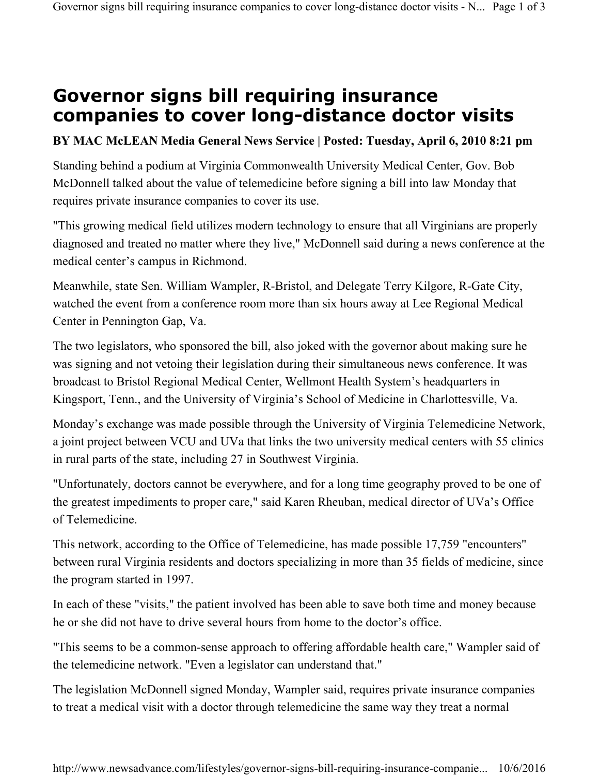## **Governor signs bill requiring insurance companies to cover long-distance doctor visits**

## **BY MAC McLEAN Media General News Service | Posted: Tuesday, April 6, 2010 8:21 pm**

Standing behind a podium at Virginia Commonwealth University Medical Center, Gov. Bob McDonnell talked about the value of telemedicine before signing a bill into law Monday that requires private insurance companies to cover its use.

"This growing medical field utilizes modern technology to ensure that all Virginians are properly diagnosed and treated no matter where they live," McDonnell said during a news conference at the medical center's campus in Richmond.

Meanwhile, state Sen. William Wampler, R-Bristol, and Delegate Terry Kilgore, R-Gate City, watched the event from a conference room more than six hours away at Lee Regional Medical Center in Pennington Gap, Va.

The two legislators, who sponsored the bill, also joked with the governor about making sure he was signing and not vetoing their legislation during their simultaneous news conference. It was broadcast to Bristol Regional Medical Center, Wellmont Health System's headquarters in Kingsport, Tenn., and the University of Virginia's School of Medicine in Charlottesville, Va.

Monday's exchange was made possible through the University of Virginia Telemedicine Network, a joint project between VCU and UVa that links the two university medical centers with 55 clinics in rural parts of the state, including 27 in Southwest Virginia.

"Unfortunately, doctors cannot be everywhere, and for a long time geography proved to be one of the greatest impediments to proper care," said Karen Rheuban, medical director of UVa's Office of Telemedicine.

This network, according to the Office of Telemedicine, has made possible 17,759 "encounters" between rural Virginia residents and doctors specializing in more than 35 fields of medicine, since the program started in 1997.

In each of these "visits," the patient involved has been able to save both time and money because he or she did not have to drive several hours from home to the doctor's office.

"This seems to be a common-sense approach to offering affordable health care," Wampler said of the telemedicine network. "Even a legislator can understand that."

The legislation McDonnell signed Monday, Wampler said, requires private insurance companies to treat a medical visit with a doctor through telemedicine the same way they treat a normal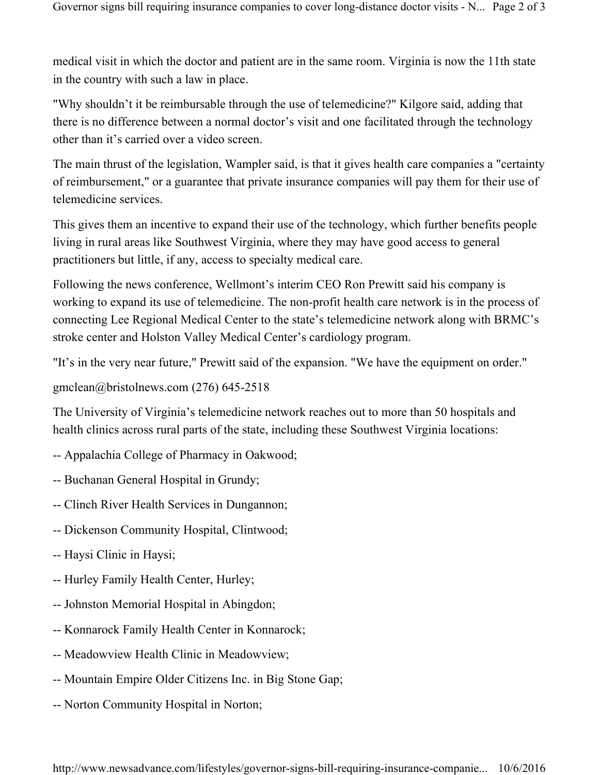medical visit in which the doctor and patient are in the same room. Virginia is now the 11th state in the country with such a law in place.

"Why shouldn't it be reimbursable through the use of telemedicine?" Kilgore said, adding that there is no difference between a normal doctor's visit and one facilitated through the technology other than it's carried over a video screen.

The main thrust of the legislation, Wampler said, is that it gives health care companies a "certainty of reimbursement," or a guarantee that private insurance companies will pay them for their use of telemedicine services.

This gives them an incentive to expand their use of the technology, which further benefits people living in rural areas like Southwest Virginia, where they may have good access to general practitioners but little, if any, access to specialty medical care.

Following the news conference, Wellmont's interim CEO Ron Prewitt said his company is working to expand its use of telemedicine. The non-profit health care network is in the process of connecting Lee Regional Medical Center to the state's telemedicine network along with BRMC's stroke center and Holston Valley Medical Center's cardiology program.

"It's in the very near future," Prewitt said of the expansion. "We have the equipment on order."

gmclean@bristolnews.com (276) 645-2518

The University of Virginia's telemedicine network reaches out to more than 50 hospitals and health clinics across rural parts of the state, including these Southwest Virginia locations:

- -- Appalachia College of Pharmacy in Oakwood;
- -- Buchanan General Hospital in Grundy;
- -- Clinch River Health Services in Dungannon;
- -- Dickenson Community Hospital, Clintwood;
- -- Haysi Clinic in Haysi;
- -- Hurley Family Health Center, Hurley;
- -- Johnston Memorial Hospital in Abingdon;
- -- Konnarock Family Health Center in Konnarock;
- -- Meadowview Health Clinic in Meadowview;
- -- Mountain Empire Older Citizens Inc. in Big Stone Gap;
- -- Norton Community Hospital in Norton;